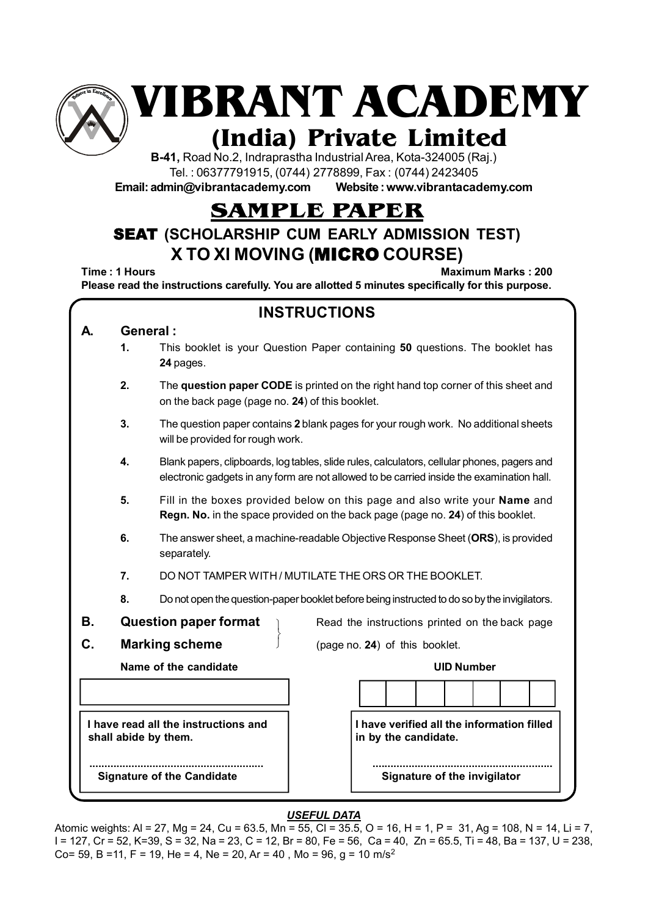

**VIBRANT ACADEMY**

# **(India) Private Limited**

**B-41,** Road No.2, Indraprastha Industrial Area, Kota-324005 (Raj.) Tel. : 06377791915, (0744) 2778899, Fax : (0744) 2423405

**Email: admin@vibrantacademy.com Website : www.vibrantacademy.com**

# **SAMPLE PAPER**

# SEAT **(SCHOLARSHIP CUM EARLY ADMISSION TEST) X TO XI MOVING (**MICRO **COURSE)**

**Time : 1 Hours Maximum Marks : 200 Please read the instructions carefully. You are allotted 5 minutes specifically for this purpose.**

|    |                                                                                                    | <b>INSTRUCTIONS</b>                                                                                                                                                                      |  |  |  |  |  |  |  |  |  |  |
|----|----------------------------------------------------------------------------------------------------|------------------------------------------------------------------------------------------------------------------------------------------------------------------------------------------|--|--|--|--|--|--|--|--|--|--|
| A  | General:                                                                                           |                                                                                                                                                                                          |  |  |  |  |  |  |  |  |  |  |
|    | 1.                                                                                                 | This booklet is your Question Paper containing 50 questions. The booklet has<br>24 pages.                                                                                                |  |  |  |  |  |  |  |  |  |  |
|    | 2.                                                                                                 | The question paper CODE is printed on the right hand top corner of this sheet and<br>on the back page (page no. 24) of this booklet.                                                     |  |  |  |  |  |  |  |  |  |  |
|    | 3.                                                                                                 | The question paper contains 2 blank pages for your rough work. No additional sheets<br>will be provided for rough work.                                                                  |  |  |  |  |  |  |  |  |  |  |
|    | 4.                                                                                                 | Blank papers, clipboards, log tables, slide rules, calculators, cellular phones, pagers and<br>electronic gadgets in any form are not allowed to be carried inside the examination hall. |  |  |  |  |  |  |  |  |  |  |
|    | 5.                                                                                                 | Fill in the boxes provided below on this page and also write your <b>Name</b> and<br>Regn. No. in the space provided on the back page (page no. 24) of this booklet.                     |  |  |  |  |  |  |  |  |  |  |
|    | 6.                                                                                                 | The answer sheet, a machine-readable Objective Response Sheet (ORS), is provided<br>separately.                                                                                          |  |  |  |  |  |  |  |  |  |  |
|    | DO NOT TAMPER WITH / MUTILATE THE ORS OR THE BOOKLET.                                              |                                                                                                                                                                                          |  |  |  |  |  |  |  |  |  |  |
|    | 8.<br>Do not open the question-paper booklet before being instructed to do so by the invigilators. |                                                                                                                                                                                          |  |  |  |  |  |  |  |  |  |  |
| В. |                                                                                                    | <b>Question paper format</b><br>Read the instructions printed on the back page                                                                                                           |  |  |  |  |  |  |  |  |  |  |
| C. |                                                                                                    | <b>Marking scheme</b><br>(page no. 24) of this booklet.                                                                                                                                  |  |  |  |  |  |  |  |  |  |  |
|    |                                                                                                    | Name of the candidate<br><b>UID Number</b>                                                                                                                                               |  |  |  |  |  |  |  |  |  |  |
|    |                                                                                                    |                                                                                                                                                                                          |  |  |  |  |  |  |  |  |  |  |
|    |                                                                                                    | I have read all the instructions and<br>I have verified all the information filled<br>in by the candidate.<br>shall abide by them.                                                       |  |  |  |  |  |  |  |  |  |  |
|    |                                                                                                    | Signature of the invigilator<br><b>Signature of the Candidate</b>                                                                                                                        |  |  |  |  |  |  |  |  |  |  |

### *USEFUL DATA*

Atomic weights: Al = 27, Mg = 24, Cu = 63.5, Mn = 55, Cl = 35.5, O = 16, H = 1, P = 31, Ag = 108, N = 14, Li = 7, I = 127, Cr = 52, K=39, S = 32, Na = 23, C = 12, Br = 80, Fe = 56, Ca = 40, Zn = 65.5, Ti = 48, Ba = 137, U = 238, Co= 59, B =11, F = 19, He = 4, Ne = 20, Ar = 40, Mo = 96, q = 10 m/s<sup>2</sup>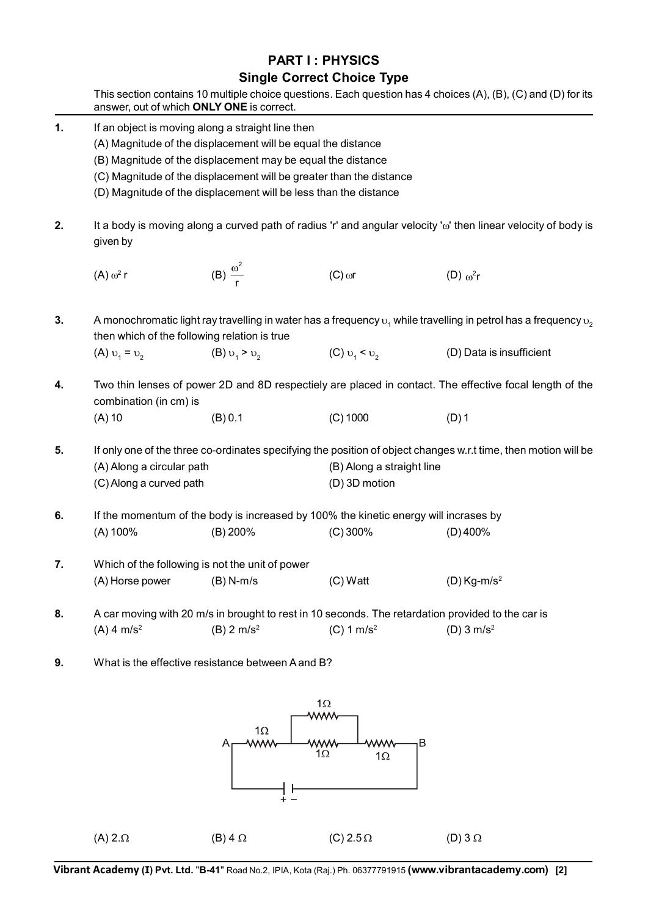## **PART I : PHYSICS Single Correct Choice Type**

|    | This section contains 10 multiple choice questions. Each question has 4 choices (A), (B), (C) and (D) for its<br>answer, out of which ONLY ONE is correct.                                                                                                                                                                  |                                                                                                   |                                                                                      |                                                                                                                                              |  |  |  |  |  |
|----|-----------------------------------------------------------------------------------------------------------------------------------------------------------------------------------------------------------------------------------------------------------------------------------------------------------------------------|---------------------------------------------------------------------------------------------------|--------------------------------------------------------------------------------------|----------------------------------------------------------------------------------------------------------------------------------------------|--|--|--|--|--|
| 1. | If an object is moving along a straight line then<br>(A) Magnitude of the displacement will be equal the distance<br>(B) Magnitude of the displacement may be equal the distance<br>(C) Magnitude of the displacement will be greater than the distance<br>(D) Magnitude of the displacement will be less than the distance |                                                                                                   |                                                                                      |                                                                                                                                              |  |  |  |  |  |
| 2. | It a body is moving along a curved path of radius 'r' and angular velocity 'o' then linear velocity of body is<br>given by                                                                                                                                                                                                  |                                                                                                   |                                                                                      |                                                                                                                                              |  |  |  |  |  |
|    | $(A)$ $\omega^2$ r                                                                                                                                                                                                                                                                                                          | (B) $\frac{\omega^2}{r}$                                                                          | $(C)$ or                                                                             | (D) $\omega^2$ r                                                                                                                             |  |  |  |  |  |
| 3. |                                                                                                                                                                                                                                                                                                                             | then which of the following relation is true                                                      |                                                                                      | A monochromatic light ray travelling in water has a frequency $v_1$ while travelling in petrol has a frequency $v_2$                         |  |  |  |  |  |
|    | (A) $v_1 = v_2$                                                                                                                                                                                                                                                                                                             | (B) $v_1 > v_2$                                                                                   | (C) $v_1 < v_2$                                                                      | (D) Data is insufficient                                                                                                                     |  |  |  |  |  |
| 4. | Two thin lenses of power 2D and 8D respectiely are placed in contact. The effective focal length of the<br>combination (in cm) is                                                                                                                                                                                           |                                                                                                   |                                                                                      |                                                                                                                                              |  |  |  |  |  |
|    | $(A)$ 10                                                                                                                                                                                                                                                                                                                    | (B) 0.1                                                                                           | $(C)$ 1000                                                                           | $(D)$ 1                                                                                                                                      |  |  |  |  |  |
| 5. | (A) Along a circular path<br>(C) Along a curved path                                                                                                                                                                                                                                                                        |                                                                                                   | (D) 3D motion                                                                        | If only one of the three co-ordinates specifying the position of object changes w.r.t time, then motion will be<br>(B) Along a straight line |  |  |  |  |  |
| 6. |                                                                                                                                                                                                                                                                                                                             |                                                                                                   | If the momentum of the body is increased by 100% the kinetic energy will incrases by |                                                                                                                                              |  |  |  |  |  |
|    | (A) 100%                                                                                                                                                                                                                                                                                                                    | $(B)$ 200%                                                                                        | $(C)$ 300%                                                                           | $(D)$ 400%                                                                                                                                   |  |  |  |  |  |
| 7. | (A) Horse power                                                                                                                                                                                                                                                                                                             | Which of the following is not the unit of power<br>$(B)$ N-m/s                                    | (C) Watt                                                                             | $(D)$ Kg-m/s <sup>2</sup>                                                                                                                    |  |  |  |  |  |
|    |                                                                                                                                                                                                                                                                                                                             |                                                                                                   |                                                                                      |                                                                                                                                              |  |  |  |  |  |
| 8. |                                                                                                                                                                                                                                                                                                                             | A car moving with 20 m/s in brought to rest in 10 seconds. The retardation provided to the car is |                                                                                      |                                                                                                                                              |  |  |  |  |  |
|    | $(A)$ 4 m/s <sup>2</sup>                                                                                                                                                                                                                                                                                                    | $(B)$ 2 m/s <sup>2</sup>                                                                          | (C) 1 m/s <sup>2</sup>                                                               | (D) $3 \text{ m/s}^2$                                                                                                                        |  |  |  |  |  |
| 9. | What is the effective resistance between A and B?                                                                                                                                                                                                                                                                           |                                                                                                   |                                                                                      |                                                                                                                                              |  |  |  |  |  |



**Vibrant Academy (I) Pvt. Ltd.** "**B-41**" Road No.2, IPIA, Kota (Raj.) Ph. 06377791915 **(www.vibrantacademy.com) [2]**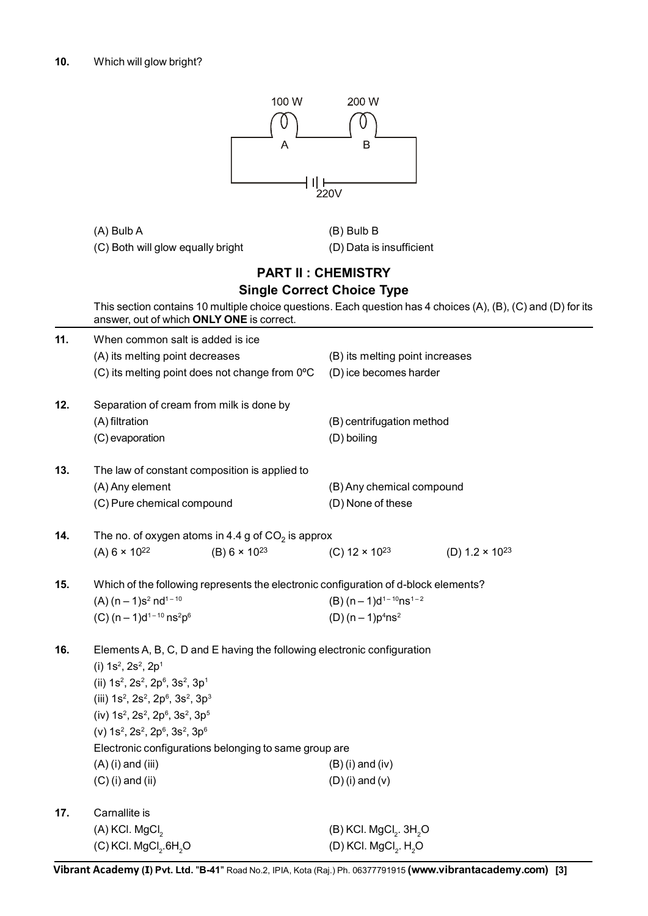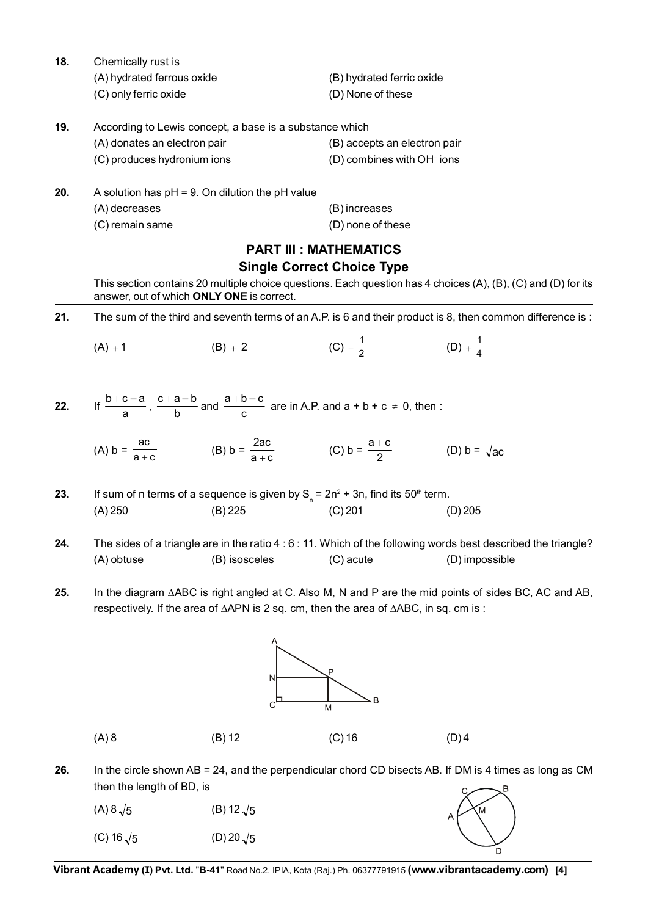**18.** Chemically rust is

(A) hydrated ferrous oxide (B) hydrated ferric oxide (C) only ferric oxide (D) None of these

**19.** According to Lewis concept, a base is a substance which (A) donates an electron pair (B) accepts an electron pair  $(C)$  produces hydronium ions (D) combines with OH<sup>-</sup> ions

| 20. | A solution has $pH = 9$ . On dilution the $pH$ value |                   |
|-----|------------------------------------------------------|-------------------|
|     | (A) decreases                                        | (B) increases     |
|     | (C) remain same                                      | (D) none of these |

#### **PART III : MATHEMATICS Single Correct Choice Type**

This section contains 20 multiple choice questions. Each question has 4 choices (A), (B), (C) and (D) for its answer, out of which **ONLY ONE** is correct.

**21.** The sum of the third and seventh terms of an A.P. is 6 and their product is 8, then common difference is :

(A)  $\pm$  1 (B)  $\pm$  2 (C)  $\pm \frac{1}{2}$  (D)  $\pm \frac{1}{4}$ 

22. If 
$$
\frac{b+c-a}{a}
$$
,  $\frac{c+a-b}{b}$  and  $\frac{a+b-c}{c}$  are in A.P. and  $a+b+c \ne 0$ , then :

(A)  $b = \frac{ac}{a+c}$  (B)  $b = \frac{2ac}{a+c}$  (C)  $b = \frac{a+c}{2}$  (D)  $b = \sqrt{ac}$ 

**23.** If sum of n terms of a sequence is given by  $S_n = 2n^2 + 3n$ , find its 50<sup>th</sup> term. (A) 250 (B) 225 (C) 201 (D) 205

- **24.** The sides of a triangle are in the ratio 4 : 6 : 11. Which of the following words best described the triangle? (A) obtuse (B) isosceles (C) acute (D) impossible
- **25.** In the diagram ∆ABC is right angled at C. Also M, N and P are the mid points of sides BC, AC and AB, respectively. If the area of  $\triangle APN$  is 2 sq. cm, then the area of  $\triangle ABC$ , in sq. cm is :



**26.** In the circle shown AB = 24, and the perpendicular chord CD bisects AB. If DM is 4 times as long as CM then the length of BD, is



**Vibrant Academy (I) Pvt. Ltd.** "**B-41**" Road No.2, IPIA, Kota (Raj.) Ph. 06377791915 **(www.vibrantacademy.com) [4]**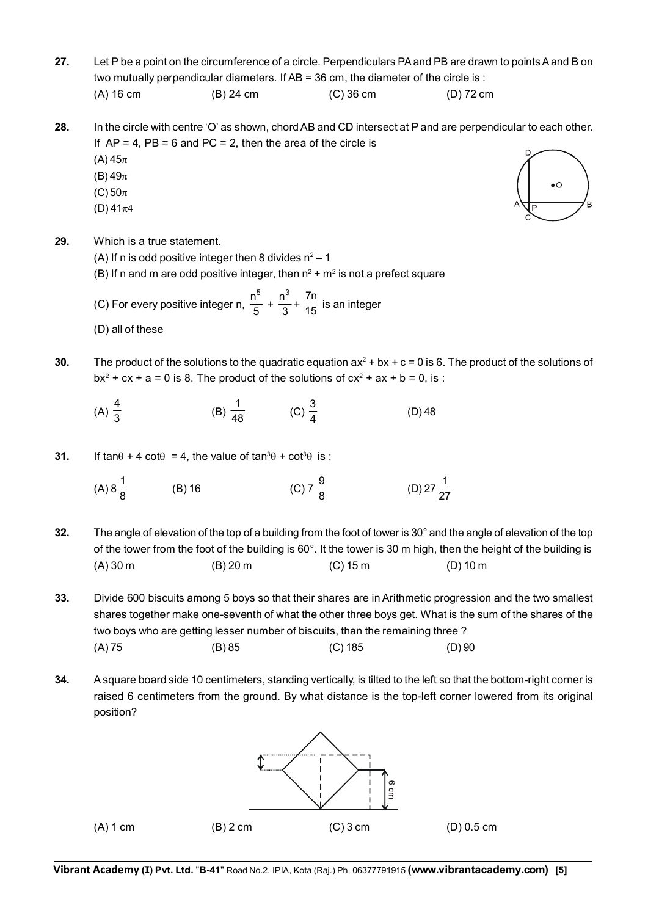- **27.** Let P be a point on the circumference of a circle. Perpendiculars PA and PB are drawn to points A and B on two mutually perpendicular diameters. If AB = 36 cm, the diameter of the circle is : (A) 16 cm (B) 24 cm (C) 36 cm (D) 72 cm
- **28.** In the circle with centre 'O' as shown, chord AB and CD intersect at P and are perpendicular to each other. If  $AP = 4$ ,  $PB = 6$  and  $PC = 2$ , then the area of the circle is
	- $(A)$  45 $\pi$
	- (B)  $49\pi$
	- $(C)$  50 $\pi$
	- $(D)$  41 $\pi$ 4

 $\bullet$ Ŕ

- **29.** Which is a true statement.
	- (A) If n is odd positive integer then 8 divides  $n^2 1$
	- (B) If n and m are odd positive integer, then  $n^2 + m^2$  is not a prefect square
	- (C) For every positive integer n,  $\frac{1}{5}$ n5  $+\frac{1}{3}$  $n^3$  $+\frac{7n}{15}$  is an integer
	- (D) all of these
- **30.** The product of the solutions to the quadratic equation  $ax^2 + bx + c = 0$  is 6. The product of the solutions of  $bx^2 + cx + a = 0$  is 8. The product of the solutions of  $cx^2 + ax + b = 0$ , is :
	- (A)  $\frac{4}{3}$ (B)  $\frac{1}{48}$  (C)  $\frac{3}{4}$  $(D)$  48
- **31.** If tan $\theta$  + 4 cot $\theta$  = 4, the value of tan<sup>3</sup> $\theta$  + cot<sup>3</sup> $\theta$  is :
	- (A)  $8\frac{1}{8}$  (B) 16 (C) 7  $\frac{9}{8}$  $\frac{9}{8}$  (D) 27 $\frac{1}{27}$
- **32.** The angle of elevation of the top of a building from the foot of tower is 30° and the angle of elevation of the top of the tower from the foot of the building is 60°. It the tower is 30 m high, then the height of the building is (A) 30 m (B) 20 m (C) 15 m (D) 10 m
- **33.** Divide 600 biscuits among 5 boys so that their shares are in Arithmetic progression and the two smallest shares together make one-seventh of what the other three boys get. What is the sum of the shares of the two boys who are getting lesser number of biscuits, than the remaining three ? (A) 75 (B) 85 (C) 185 (D) 90
- **34.** A square board side 10 centimeters, standing vertically, is tilted to the left so that the bottom-right corner is raised 6 centimeters from the ground. By what distance is the top-left corner lowered from its original position?

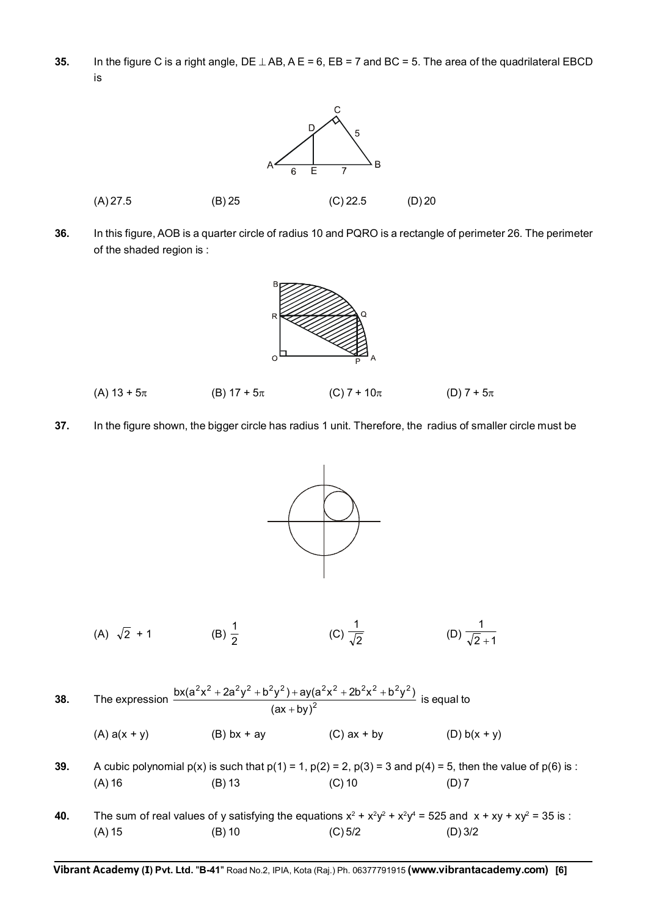**35.** In the figure C is a right angle,  $DE \perp AB$ ,  $AE = 6$ ,  $EB = 7$  and  $BC = 5$ . The area of the quadrilateral EBCD is



**36.** In this figure, AOB is a quarter circle of radius 10 and PQRO is a rectangle of perimeter 26. The perimeter of the shaded region is :



- (A)  $13 + 5\pi$  (B)  $17 + 5\pi$  (C)  $7 + 10\pi$  (D)  $7 + 5\pi$
- **37.** In the figure shown, the bigger circle has radius 1 unit. Therefore, the radius of smaller circle must be

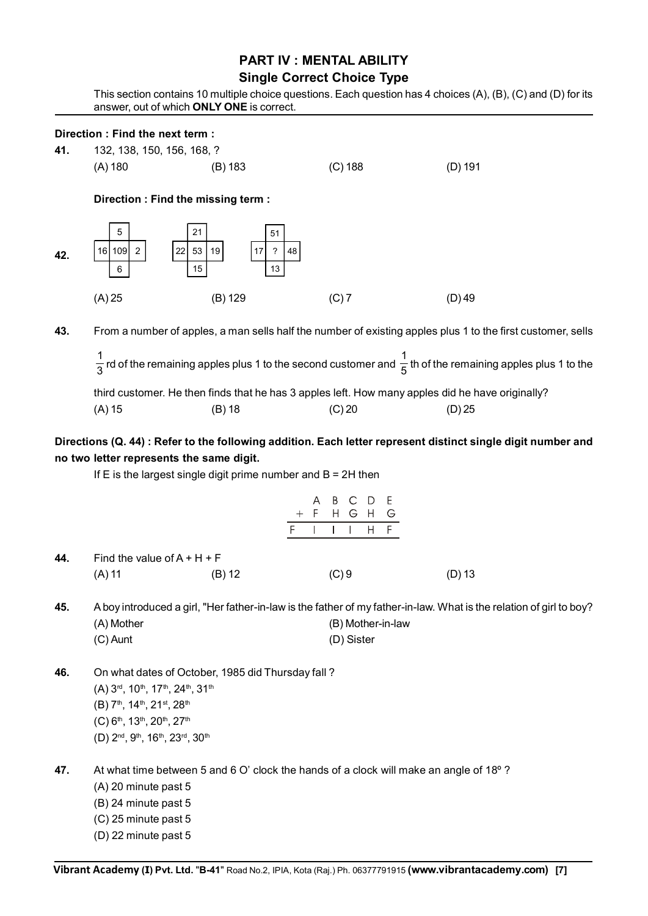### **PART IV : MENTAL ABILITY Single Correct Choice Type**

This section contains 10 multiple choice questions. Each question has 4 choices (A), (B), (C) and (D) for its answer, out of which **ONLY ONE** is correct.

#### **Direction : Find the next term :**

**41.** 132, 138, 150, 156, 168, ?

(A) 180 (B) 183 (C) 188 (D) 191

**Direction : Find the missing term :**



**43.** From a number of apples, a man sells half the number of existing apples plus 1 to the first customer, sells

3  $\frac{1}{3}$  rd of the remaining apples plus 1 to the second customer and  $\frac{1}{5}$  th of the remaining apples plus 1 to the third customer. He then finds that he has 3 apples left. How many apples did he have originally?

(A) 15 (B) 18 (C) 20 (D) 25

#### **Directions (Q. 44) : Refer to the following addition. Each letter represent distinct single digit number and no two letter represents the same digit.**

If  $E$  is the largest single digit prime number and  $B = 2H$  then

|     |                                                                                                |          | B<br>A<br>F<br>$^{+}$<br>F | E<br>$\mathsf{C}$<br>D<br>H G H G<br>$H$ $F$ |                                                                                                                     |  |
|-----|------------------------------------------------------------------------------------------------|----------|----------------------------|----------------------------------------------|---------------------------------------------------------------------------------------------------------------------|--|
| 44. | Find the value of $A + H + F$                                                                  |          |                            |                                              |                                                                                                                     |  |
|     | $(A)$ 11                                                                                       | $(B)$ 12 | (C)9                       |                                              | (D) 13                                                                                                              |  |
| 45. |                                                                                                |          |                            |                                              | A boy introduced a girl, "Her father-in-law is the father of my father-in-law. What is the relation of girl to boy? |  |
|     | (A) Mother                                                                                     |          |                            | (B) Mother-in-law                            |                                                                                                                     |  |
|     | $(C)$ Aunt                                                                                     |          |                            | (D) Sister                                   |                                                                                                                     |  |
| 46. | On what dates of October, 1985 did Thursday fall?                                              |          |                            |                                              |                                                                                                                     |  |
|     | (A) 3rd, 10th, 17th, 24th, 31th                                                                |          |                            |                                              |                                                                                                                     |  |
|     | (B) 7 <sup>th</sup> , 14 <sup>th</sup> , 21 <sup>st</sup> , 28 <sup>th</sup>                   |          |                            |                                              |                                                                                                                     |  |
|     | (C) 6 <sup>th</sup> , 13 <sup>th</sup> , 20 <sup>th</sup> , 27 <sup>th</sup>                   |          |                            |                                              |                                                                                                                     |  |
|     | (D) 2 <sup>nd</sup> , 9 <sup>th</sup> , 16 <sup>th</sup> , 23 <sup>rd</sup> , 30 <sup>th</sup> |          |                            |                                              |                                                                                                                     |  |
| 47. |                                                                                                |          |                            |                                              | At what time between 5 and 6 O' clock the hands of a clock will make an angle of 18 $^{\circ}$ ?                    |  |
|     | (A) 20 minute past 5                                                                           |          |                            |                                              |                                                                                                                     |  |
|     | (B) 24 minute past 5                                                                           |          |                            |                                              |                                                                                                                     |  |
|     | (C) 25 minute past 5                                                                           |          |                            |                                              |                                                                                                                     |  |
|     | (D) 22 minute past 5                                                                           |          |                            |                                              |                                                                                                                     |  |